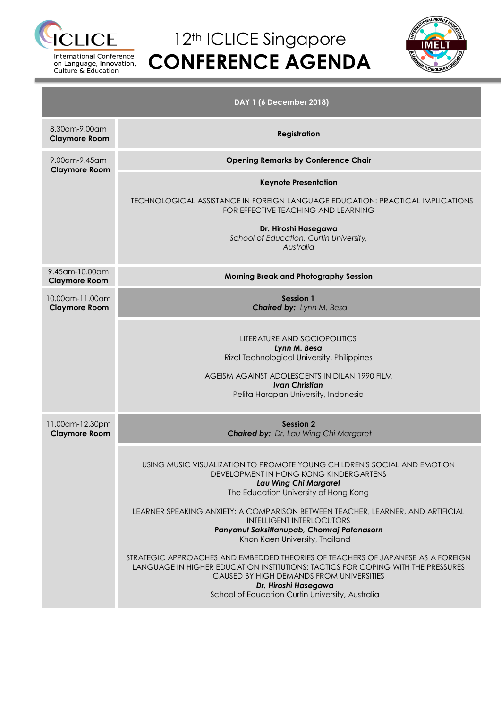

on Language, Innovation, Culture & Education

## 12<sup>th</sup> ICLICE Singapore **CONFERENCE AGENDA**



| DAY 1 (6 December 2018)                    |                                                                                                                                                                                                                                                                                                                                                                                                                                                                                                                                                                                                                                                                                            |  |  |  |  |  |  |  |  |
|--------------------------------------------|--------------------------------------------------------------------------------------------------------------------------------------------------------------------------------------------------------------------------------------------------------------------------------------------------------------------------------------------------------------------------------------------------------------------------------------------------------------------------------------------------------------------------------------------------------------------------------------------------------------------------------------------------------------------------------------------|--|--|--|--|--|--|--|--|
| 8.30am-9.00am<br><b>Claymore Room</b>      | <b>Registration</b>                                                                                                                                                                                                                                                                                                                                                                                                                                                                                                                                                                                                                                                                        |  |  |  |  |  |  |  |  |
| 9.00am-9.45am<br><b>Claymore Room</b>      | <b>Opening Remarks by Conference Chair</b>                                                                                                                                                                                                                                                                                                                                                                                                                                                                                                                                                                                                                                                 |  |  |  |  |  |  |  |  |
|                                            | <b>Keynote Presentation</b>                                                                                                                                                                                                                                                                                                                                                                                                                                                                                                                                                                                                                                                                |  |  |  |  |  |  |  |  |
|                                            | <b>TECHNOLOGICAL ASSISTANCE IN FOREIGN LANGUAGE EDUCATION: PRACTICAL IMPLICATIONS</b><br>FOR EFFECTIVE TEACHING AND LEARNING                                                                                                                                                                                                                                                                                                                                                                                                                                                                                                                                                               |  |  |  |  |  |  |  |  |
|                                            | Dr. Hiroshi Hasegawa<br>School of Education, Curtin University,<br>Australia                                                                                                                                                                                                                                                                                                                                                                                                                                                                                                                                                                                                               |  |  |  |  |  |  |  |  |
| 9.45 am - 10.00 am<br><b>Claymore Room</b> | Morning Break and Photography Session                                                                                                                                                                                                                                                                                                                                                                                                                                                                                                                                                                                                                                                      |  |  |  |  |  |  |  |  |
| 10.00am-11.00am<br><b>Claymore Room</b>    | <b>Session 1</b><br>Chaired by: Lynn M. Besa                                                                                                                                                                                                                                                                                                                                                                                                                                                                                                                                                                                                                                               |  |  |  |  |  |  |  |  |
|                                            | LITERATURE AND SOCIOPOLITICS<br>Lynn M. Besa<br>Rizal Technological University, Philippines                                                                                                                                                                                                                                                                                                                                                                                                                                                                                                                                                                                                |  |  |  |  |  |  |  |  |
|                                            | AGEISM AGAINST ADOLESCENTS IN DILAN 1990 FILM<br><b>Ivan Christian</b><br>Pelita Harapan University, Indonesia                                                                                                                                                                                                                                                                                                                                                                                                                                                                                                                                                                             |  |  |  |  |  |  |  |  |
| 11.00am-12.30pm<br><b>Claymore Room</b>    | Session 2<br>Chaired by: Dr. Lau Wing Chi Margaret                                                                                                                                                                                                                                                                                                                                                                                                                                                                                                                                                                                                                                         |  |  |  |  |  |  |  |  |
|                                            | USING MUSIC VISUALIZATION TO PROMOTE YOUNG CHILDREN'S SOCIAL AND EMOTION<br>DEVELOPMENT IN HONG KONG KINDERGARTENS<br>Lau Wing Chi Margaret<br>The Education University of Hong Kong<br>LEARNER SPEAKING ANXIETY: A COMPARISON BETWEEN TEACHER, LEARNER, AND ARTIFICIAL<br><b>INTELLIGENT INTERLOCUTORS</b><br>Panyanut Saksittanupab, Chomraj Patanasorn<br>Khon Kaen University, Thailand<br>STRATEGIC APPROACHES AND EMBEDDED THEORIES OF TEACHERS OF JAPANESE AS A FOREIGN<br>LANGUAGE IN HIGHER EDUCATION INSTITUTIONS: TACTICS FOR COPING WITH THE PRESSURES<br>CAUSED BY HIGH DEMANDS FROM UNIVERSITIES<br>Dr. Hiroshi Hasegawa<br>School of Education Curtin University, Australia |  |  |  |  |  |  |  |  |
|                                            |                                                                                                                                                                                                                                                                                                                                                                                                                                                                                                                                                                                                                                                                                            |  |  |  |  |  |  |  |  |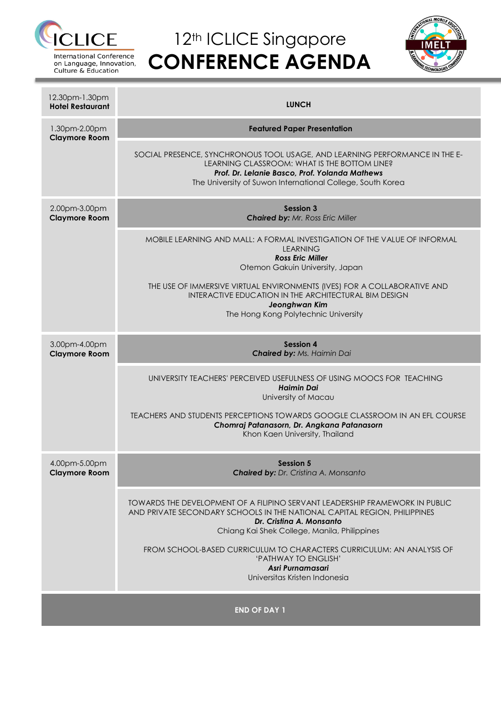

International Conference on Language, Innovation, Culture & Education

# 12<sup>th</sup> ICLICE Singapore **CONFERENCE AGENDA**



| 12.30pm-1.30pm<br><b>Hotel Restaurant</b> | <b>LUNCH</b>                                                                                                                                                                                                                                 |  |  |  |  |  |  |
|-------------------------------------------|----------------------------------------------------------------------------------------------------------------------------------------------------------------------------------------------------------------------------------------------|--|--|--|--|--|--|
| 1.30pm-2.00pm<br><b>Claymore Room</b>     | <b>Featured Paper Presentation</b>                                                                                                                                                                                                           |  |  |  |  |  |  |
|                                           | SOCIAL PRESENCE, SYNCHRONOUS TOOL USAGE, AND LEARNING PERFORMANCE IN THE E-<br>LEARNING CLASSROOM: WHAT IS THE BOTTOM LINE?<br>Prof. Dr. Lelanie Basco, Prof. Yolanda Mathews<br>The University of Suwon International College, South Korea  |  |  |  |  |  |  |
| 2.00pm-3.00pm<br><b>Claymore Room</b>     | <b>Session 3</b><br><b>Chaired by: Mr. Ross Eric Miller</b>                                                                                                                                                                                  |  |  |  |  |  |  |
|                                           | MOBILE LEARNING AND MALL: A FORMAL INVESTIGATION OF THE VALUE OF INFORMAL<br><b>LEARNING</b><br><b>Ross Eric Miller</b><br>Otemon Gakuin University, Japan                                                                                   |  |  |  |  |  |  |
|                                           | THE USE OF IMMERSIVE VIRTUAL ENVIRONMENTS (IVES) FOR A COLLABORATIVE AND<br>INTERACTIVE EDUCATION IN THE ARCHITECTURAL BIM DESIGN<br>Jeonghwan Kim<br>The Hong Kong Polytechnic University                                                   |  |  |  |  |  |  |
| 3.00pm-4.00pm<br><b>Claymore Room</b>     | <b>Session 4</b><br><b>Chaired by: Ms. Haimin Dai</b>                                                                                                                                                                                        |  |  |  |  |  |  |
|                                           | UNIVERSITY TEACHERS' PERCEIVED USEFULNESS OF USING MOOCS FOR TEACHING<br>Haimin Dai<br>University of Macau                                                                                                                                   |  |  |  |  |  |  |
|                                           | TEACHERS AND STUDENTS PERCEPTIONS TOWARDS GOOGLE CLASSROOM IN AN EFL COURSE<br>Chomraj Patanasorn, Dr. Angkana Patanasorn<br>Khon Kaen University, Thailand                                                                                  |  |  |  |  |  |  |
| 4.00pm-5.00pm<br><b>Claymore Room</b>     | <b>Session 5</b><br><b>Chaired by: Dr. Cristina A. Monsanto</b>                                                                                                                                                                              |  |  |  |  |  |  |
|                                           | <b>TOWARDS THE DEVELOPMENT OF A FILIPINO SERVANT LEADERSHIP FRAMEWORK IN PUBLIC</b><br>AND PRIVATE SECONDARY SCHOOLS IN THE NATIONAL CAPITAL REGION, PHILIPPINES<br>Dr. Cristina A. Monsanto<br>Chiang Kai Shek College, Manila, Philippines |  |  |  |  |  |  |
|                                           | FROM SCHOOL-BASED CURRICULUM TO CHARACTERS CURRICULUM: AN ANALYSIS OF<br>'PATHWAY TO ENGLISH'<br>Asri Purnamasari<br>Universitas Kristen Indonesia                                                                                           |  |  |  |  |  |  |
|                                           |                                                                                                                                                                                                                                              |  |  |  |  |  |  |

**END OF DAY 1**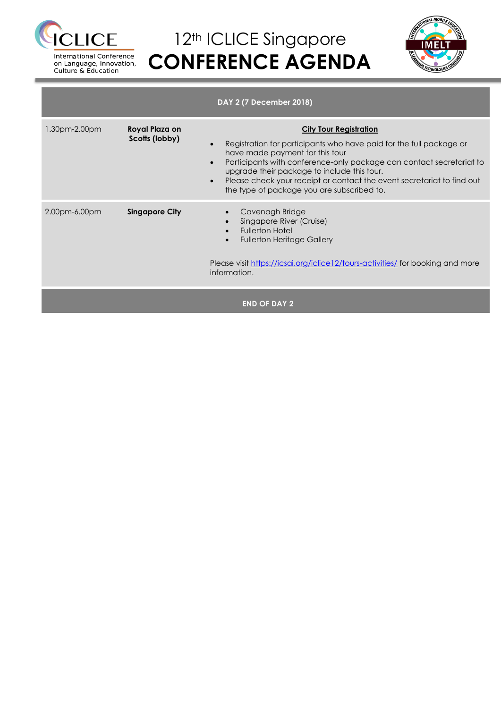

on Language, Innovation, Culture & Education

# 12<sup>th</sup> ICLICE Singapore **CONFERENCE AGENDA**



**DAY 2 (7 December 2018)** 1.30pm-2.00pm **Royal Plaza on Scotts (lobby) City Tour Registration** Registration for participants who have paid for the full package or have made payment for this tour Participants with conference-only package can contact secretariat to upgrade their package to include this tour. Please check your receipt or contact the event secretariat to find out the type of package you are subscribed to. 2.00pm-6.00pm **Singapore City** Cavenagh Bridge Singapore River (Cruise) Fullerton Hotel Fullerton Heritage Gallery Please visit<https://icsai.org/iclice12/tours-activities/> for booking and more information. **END OF DAY 2**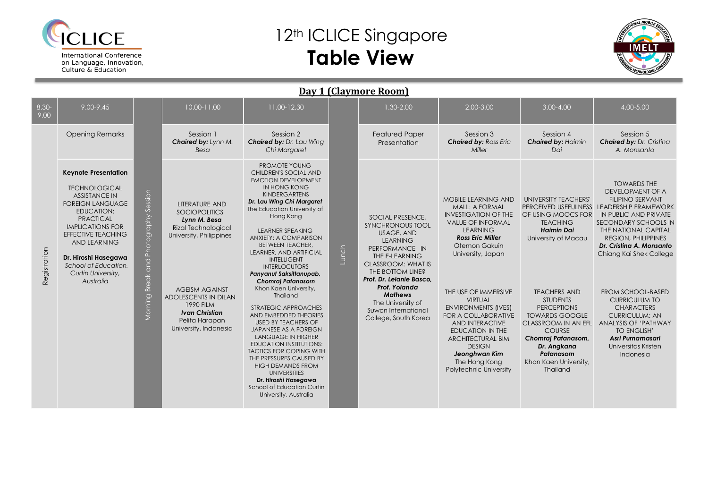

### 12<sup>th</sup> ICLICE Singapore **Table View**



| Day 1 (Claymore Room) |                                                                                                                                                                                                                                                                                                                   |                                                |                                                                                                                                                                                                                                                                        |                                                                                                                                                                                                                                                                                                                                                                                                                                                                                                                                                                                                                                                                                                                                                                                                           |       |                                                                                                                                                                                                                                                                                                      |                                                                                                                                                                                                                                                                                                                                                                                                                                                                 |                                                                                                                                                                                                                                                                                                                                                                    |                                                                                                                                                                                                                                                                                                                                                                                                                                                                                      |  |  |  |  |
|-----------------------|-------------------------------------------------------------------------------------------------------------------------------------------------------------------------------------------------------------------------------------------------------------------------------------------------------------------|------------------------------------------------|------------------------------------------------------------------------------------------------------------------------------------------------------------------------------------------------------------------------------------------------------------------------|-----------------------------------------------------------------------------------------------------------------------------------------------------------------------------------------------------------------------------------------------------------------------------------------------------------------------------------------------------------------------------------------------------------------------------------------------------------------------------------------------------------------------------------------------------------------------------------------------------------------------------------------------------------------------------------------------------------------------------------------------------------------------------------------------------------|-------|------------------------------------------------------------------------------------------------------------------------------------------------------------------------------------------------------------------------------------------------------------------------------------------------------|-----------------------------------------------------------------------------------------------------------------------------------------------------------------------------------------------------------------------------------------------------------------------------------------------------------------------------------------------------------------------------------------------------------------------------------------------------------------|--------------------------------------------------------------------------------------------------------------------------------------------------------------------------------------------------------------------------------------------------------------------------------------------------------------------------------------------------------------------|--------------------------------------------------------------------------------------------------------------------------------------------------------------------------------------------------------------------------------------------------------------------------------------------------------------------------------------------------------------------------------------------------------------------------------------------------------------------------------------|--|--|--|--|
| $8.30 -$<br>9.00      | 9.00-9.45                                                                                                                                                                                                                                                                                                         |                                                | 10.00-11.00                                                                                                                                                                                                                                                            | 11.00-12.30                                                                                                                                                                                                                                                                                                                                                                                                                                                                                                                                                                                                                                                                                                                                                                                               |       | 1.30-2.00                                                                                                                                                                                                                                                                                            | 2.00-3.00                                                                                                                                                                                                                                                                                                                                                                                                                                                       | $3.00 - 4.00$                                                                                                                                                                                                                                                                                                                                                      | 4.00-5.00                                                                                                                                                                                                                                                                                                                                                                                                                                                                            |  |  |  |  |
|                       | <b>Opening Remarks</b>                                                                                                                                                                                                                                                                                            |                                                | Session 1<br>Chaired by: Lynn M.<br>Besa                                                                                                                                                                                                                               | Session 2<br>Chaired by: Dr. Lau Wing<br>Chi Margaret                                                                                                                                                                                                                                                                                                                                                                                                                                                                                                                                                                                                                                                                                                                                                     |       | <b>Featured Paper</b><br>Presentation                                                                                                                                                                                                                                                                | Session 3<br><b>Chaired by: Ross Eric</b><br>Miller                                                                                                                                                                                                                                                                                                                                                                                                             | Session 4<br><b>Chaired by: Haimin</b><br>Dai                                                                                                                                                                                                                                                                                                                      | Session 5<br><b>Chaired by: Dr. Cristina</b><br>A. Monsanto                                                                                                                                                                                                                                                                                                                                                                                                                          |  |  |  |  |
| Registration          | <b>Keynote Presentation</b><br><b>TECHNOLOGICAL</b><br><b>ASSISTANCE IN</b><br><b>FOREIGN LANGUAGE</b><br><b>EDUCATION:</b><br><b>PRACTICAL</b><br><b>IMPLICATIONS FOR</b><br><b>EFFECTIVE TEACHING</b><br><b>AND LEARNING</b><br>Dr. Hiroshi Hasegawa<br>School of Education.<br>Curtin University,<br>Australia | Session<br>Photography<br>Break and<br>Morning | <b>LITERATURE AND</b><br><b>SOCIOPOLITICS</b><br>Lynn M. Besa<br><b>Rizal Technological</b><br>University, Philippines<br><b>AGEISM AGAINST</b><br><b>ADOLESCENTS IN DILAN</b><br><b>1990 FILM</b><br><b>Ivan Christian</b><br>Pelita Harapan<br>University, Indonesia | PROMOTE YOUNG<br>CHILDREN'S SOCIAL AND<br><b>EMOTION DEVELOPMENT</b><br>IN HONG KONG<br><b>KINDERGARTENS</b><br>Dr. Lau Wing Chi Margaret<br>The Education University of<br>Hong Kong<br><b>LEARNER SPEAKING</b><br>ANXIETY: A COMPARISON<br><b>BETWEEN TEACHER,</b><br>LEARNER, AND ARTIFICIAL<br><b>INTELLIGENT</b><br><b>INTERLOCUTORS</b><br>Panyanut Saksittanupab,<br>Chomraj Patanasorn<br>Khon Kaen University,<br>Thailand<br>STRATEGIC APPROACHES<br>AND EMBEDDED THEORIES<br><b>USED BY TEACHERS OF</b><br>JAPANESE AS A FOREIGN<br><b>LANGUAGE IN HIGHER</b><br><b>EDUCATION INSTITUTIONS:</b><br><b>TACTICS FOR COPING WITH</b><br>THE PRESSURES CAUSED BY<br><b>HIGH DEMANDS FROM</b><br><b>UNIVERSITIES</b><br>Dr. Hiroshi Hasegawa<br>School of Education Curtin<br>University, Australia | Lunch | <b>SOCIAL PRESENCE,</b><br><b>SYNCHRONOUS TOOL</b><br>USAGE, AND<br><b>LEARNING</b><br>PERFORMANCE IN<br>THE E-LEARNING<br>CLASSROOM: WHAT IS<br>THE BOTTOM LINE?<br>Prof. Dr. Lelanie Basco,<br>Prof. Yolanda<br><b>Mathews</b><br>The University of<br>Suwon International<br>College, South Korea | <b>MOBILE LEARNING AND</b><br><b>MALL: A FORMAL</b><br><b>INVESTIGATION OF THE</b><br><b>VALUE OF INFORMAL</b><br><b>LEARNING</b><br><b>Ross Eric Miller</b><br>Otemon Gakuin<br>University, Japan<br>THE USE OF IMMERSIVE<br><b>VIRTUAL</b><br><b>ENVIRONMENTS (IVES)</b><br><b>FOR A COLLABORATIVE</b><br>AND INTERACTIVE<br><b>EDUCATION IN THE</b><br><b>ARCHITECTURAL BIM</b><br><b>DESIGN</b><br>Jeonghwan Kim<br>The Hong Kong<br>Polytechnic University | UNIVERSITY TEACHERS'<br>PERCEIVED USEFULNESS<br>OF USING MOOCS FOR<br><b>TEACHING</b><br><b>Haimin Dai</b><br>University of Macau<br><b>TEACHERS AND</b><br><b>STUDENTS</b><br><b>PERCEPTIONS</b><br><b>TOWARDS GOOGLE</b><br><b>CLASSROOM IN AN EFL</b><br><b>COURSE</b><br>Chomraj Patanasorn,<br>Dr. Angkana<br>Patanasorn<br>Khon Kaen University,<br>Thailand | <b>TOWARDS THE</b><br><b>DEVELOPMENT OF A</b><br><b>FILIPINO SERVANT</b><br><b>LEADERSHIP FRAMEWORK</b><br>IN PUBLIC AND PRIVATE<br>SECONDARY SCHOOLS IN<br>THE NATIONAL CAPITAL<br><b>REGION, PHILIPPINES</b><br>Dr. Cristing A. Monsanto<br>Chiang Kai Shek College<br><b>FROM SCHOOL-BASED</b><br><b>CURRICULUM TO</b><br><b>CHARACTERS</b><br><b>CURRICULUM: AN</b><br><b>ANALYSIS OF 'PATHWAY</b><br><b>TO ENGLISH'</b><br>Asri Purnamasari<br>Universitas Kristen<br>Indonesia |  |  |  |  |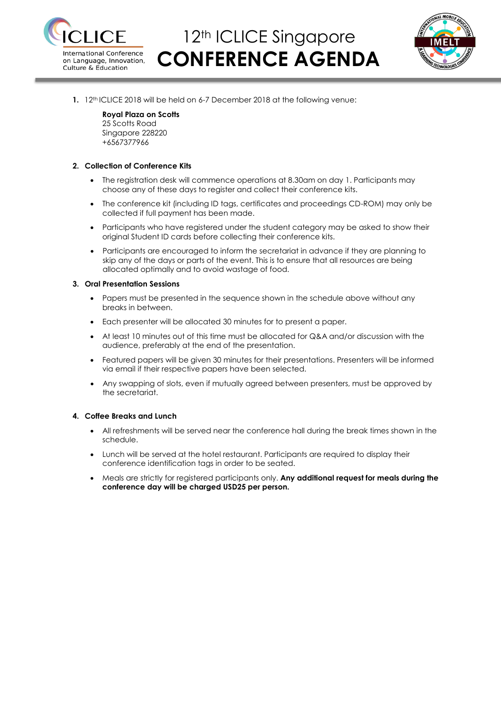

### 12<sup>th</sup> ICLICE Singapore **CONFERENCE AGENDA**



**1.** 12<sup>th</sup> ICLICE 2018 will be held on 6-7 December 2018 at the following venue:

#### **Royal Plaza on Scotts**

25 Scotts Road Singapore 228220 +6567377966

#### **2. Collection of Conference Kits**

- The registration desk will commence operations at 8.30am on day 1. Participants may choose any of these days to register and collect their conference kits.
- The conference kit (including ID tags, certificates and proceedings CD-ROM) may only be collected if full payment has been made.
- Participants who have registered under the student category may be asked to show their original Student ID cards before collecting their conference kits.
- Participants are encouraged to inform the secretariat in advance if they are planning to skip any of the days or parts of the event. This is to ensure that all resources are being allocated optimally and to avoid wastage of food.

#### **3. Oral Presentation Sessions**

- Papers must be presented in the sequence shown in the schedule above without any breaks in between.
- Each presenter will be allocated 30 minutes for to present a paper.
- At least 10 minutes out of this time must be allocated for Q&A and/or discussion with the audience, preferably at the end of the presentation.
- Featured papers will be given 30 minutes for their presentations. Presenters will be informed via email if their respective papers have been selected.
- Any swapping of slots, even if mutually agreed between presenters, must be approved by the secretariat.

#### **4. Coffee Breaks and Lunch**

- All refreshments will be served near the conference hall during the break times shown in the schedule.
- Lunch will be served at the hotel restaurant. Participants are required to display their conference identification tags in order to be seated.
- Meals are strictly for registered participants only. **Any additional request for meals during the conference day will be charged USD25 per person.**